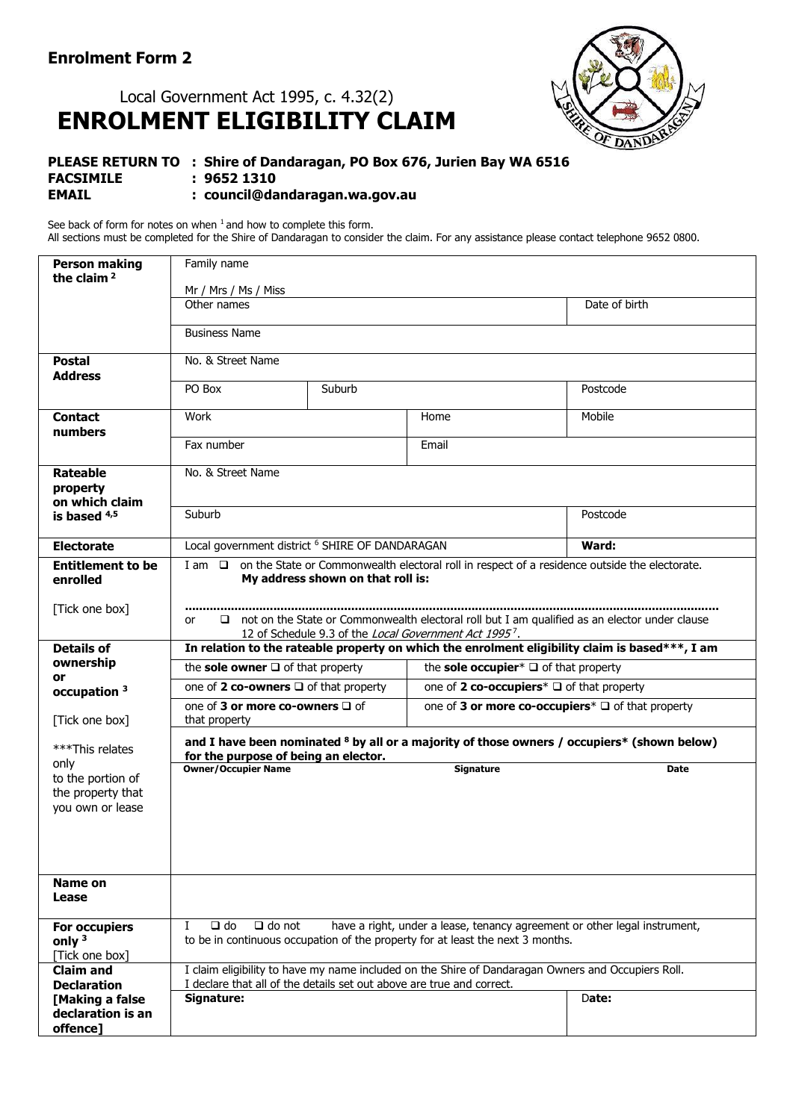## Local Government Act 1995, c. 4.32(2) **ENROLMENT ELIGIBILITY CLAIM**



## **PLEASE RETURN TO : Shire of Dandaragan, PO Box 676, Jurien Bay WA 6516 FACSIMILE : 9652 1310 EMAIL : council@dandaragan.wa.gov.au**

See back of form for notes on when  $1$  and how to complete this form. All sections must be completed for the Shire of Dandaragan to consider the claim. For any assistance please contact telephone 9652 0800.

| <b>Person making</b><br>the claim $2$                              | Family name                                                                                                                                                                                    |                                                                                                     |                  |               |
|--------------------------------------------------------------------|------------------------------------------------------------------------------------------------------------------------------------------------------------------------------------------------|-----------------------------------------------------------------------------------------------------|------------------|---------------|
|                                                                    | Mr / Mrs / Ms / Miss                                                                                                                                                                           |                                                                                                     |                  |               |
|                                                                    | Other names                                                                                                                                                                                    |                                                                                                     |                  | Date of birth |
|                                                                    | <b>Business Name</b>                                                                                                                                                                           |                                                                                                     |                  |               |
| <b>Postal</b>                                                      | No. & Street Name                                                                                                                                                                              |                                                                                                     |                  |               |
| <b>Address</b>                                                     |                                                                                                                                                                                                |                                                                                                     |                  |               |
|                                                                    | Suburb<br>PO Box                                                                                                                                                                               |                                                                                                     |                  | Postcode      |
| <b>Contact</b><br>numbers                                          | Work                                                                                                                                                                                           |                                                                                                     | Home             | Mobile        |
|                                                                    | Fax number                                                                                                                                                                                     |                                                                                                     | Email            |               |
| <b>Rateable</b>                                                    | No. & Street Name                                                                                                                                                                              |                                                                                                     |                  |               |
| property                                                           |                                                                                                                                                                                                |                                                                                                     |                  |               |
| on which claim<br>is based $4,5$                                   | Suburb                                                                                                                                                                                         |                                                                                                     |                  | Postcode      |
|                                                                    |                                                                                                                                                                                                |                                                                                                     |                  |               |
| <b>Electorate</b>                                                  |                                                                                                                                                                                                | Local government district <sup>6</sup> SHIRE OF DANDARAGAN<br>Ward:                                 |                  |               |
| <b>Entitlement to be</b><br>enrolled                               | I am □ on the State or Commonwealth electoral roll in respect of a residence outside the electorate.<br>My address shown on that roll is:                                                      |                                                                                                     |                  |               |
| [Tick one box]                                                     | $\Box$ not on the State or Commonwealth electoral roll but I am qualified as an elector under clause<br>or<br>12 of Schedule 9.3 of the Local Government Act 1995 <sup>7</sup> .               |                                                                                                     |                  |               |
| <b>Details of</b>                                                  | In relation to the rateable property on which the enrolment eligibility claim is based***, I am                                                                                                |                                                                                                     |                  |               |
| ownership<br>or                                                    | the sole occupier* $\Box$ of that property<br>the sole owner $\square$ of that property                                                                                                        |                                                                                                     |                  |               |
| occupation <sup>3</sup>                                            |                                                                                                                                                                                                | one of 2 co-owners $\Box$ of that property<br>one of 2 co-occupiers <sup>*</sup> □ of that property |                  |               |
| [Tick one box]                                                     | one of 3 or more co-owners $\square$ of<br>one of 3 or more co-occupiers <sup>*</sup> □ of that property<br>that property                                                                      |                                                                                                     |                  |               |
| ***This relates                                                    | and I have been nominated <sup>8</sup> by all or a majority of those owners / occupiers* (shown below)<br>for the purpose of being an elector.                                                 |                                                                                                     |                  |               |
| only<br>to the portion of<br>the property that<br>you own or lease | <b>Owner/Occupier Name</b>                                                                                                                                                                     |                                                                                                     | <b>Signature</b> | <b>Date</b>   |
| Name on<br>Lease                                                   |                                                                                                                                                                                                |                                                                                                     |                  |               |
| <b>For occupiers</b><br>only $3$<br>[Tick one box]                 | I<br>$\Box$ do<br>$\Box$ do not<br>have a right, under a lease, tenancy agreement or other legal instrument,<br>to be in continuous occupation of the property for at least the next 3 months. |                                                                                                     |                  |               |
| <b>Claim and</b><br><b>Declaration</b>                             | I claim eligibility to have my name included on the Shire of Dandaragan Owners and Occupiers Roll.<br>I declare that all of the details set out above are true and correct.                    |                                                                                                     |                  |               |
| [Making a false                                                    | Signature:<br>Date:                                                                                                                                                                            |                                                                                                     |                  |               |
| declaration is an                                                  |                                                                                                                                                                                                |                                                                                                     |                  |               |